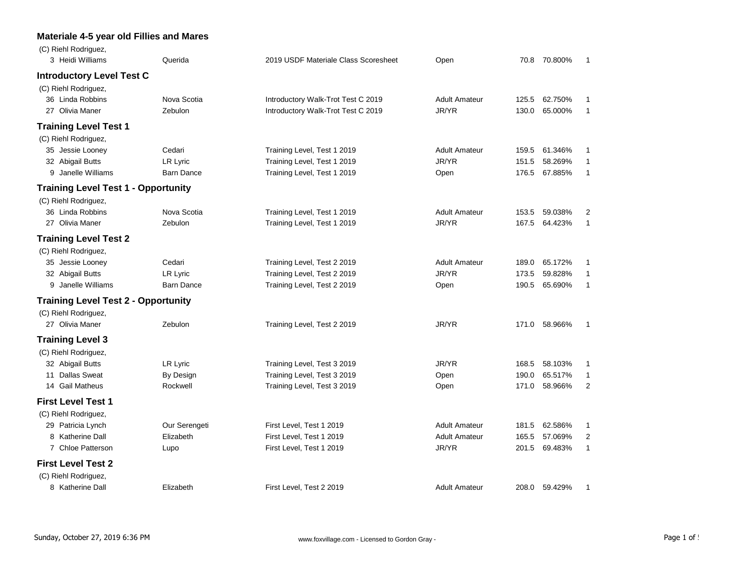## **Materiale 4-5 year old Fillies and Mares**

| (C) Riehl Rodriguez,<br>3 Heidi Williams   | Querida           | 2019 USDF Materiale Class Scoresheet | Open                 |       | 70.8 70.800% | 1              |
|--------------------------------------------|-------------------|--------------------------------------|----------------------|-------|--------------|----------------|
| <b>Introductory Level Test C</b>           |                   |                                      |                      |       |              |                |
| (C) Riehl Rodriguez,                       |                   |                                      |                      |       |              |                |
| 36 Linda Robbins                           | Nova Scotia       | Introductory Walk-Trot Test C 2019   | <b>Adult Amateur</b> | 125.5 | 62.750%      | 1              |
| 27 Olivia Maner                            | Zebulon           | Introductory Walk-Trot Test C 2019   | JR/YR                | 130.0 | 65.000%      | $\mathbf{1}$   |
| <b>Training Level Test 1</b>               |                   |                                      |                      |       |              |                |
| (C) Riehl Rodriguez,                       |                   |                                      |                      |       |              |                |
| 35 Jessie Looney                           | Cedari            | Training Level, Test 1 2019          | <b>Adult Amateur</b> | 159.5 | 61.346%      | 1              |
| 32 Abigail Butts                           | LR Lyric          | Training Level, Test 1 2019          | JR/YR                | 151.5 | 58.269%      | 1              |
| 9 Janelle Williams                         | <b>Barn Dance</b> | Training Level, Test 1 2019          | Open                 | 176.5 | 67.885%      | 1              |
| <b>Training Level Test 1 - Opportunity</b> |                   |                                      |                      |       |              |                |
| (C) Riehl Rodriguez,                       |                   |                                      |                      |       |              |                |
| 36 Linda Robbins                           | Nova Scotia       | Training Level, Test 1 2019          | <b>Adult Amateur</b> | 153.5 | 59.038%      | 2              |
| 27 Olivia Maner                            | Zebulon           | Training Level, Test 1 2019          | JR/YR                | 167.5 | 64.423%      | 1              |
| <b>Training Level Test 2</b>               |                   |                                      |                      |       |              |                |
| (C) Riehl Rodriguez,                       |                   |                                      |                      |       |              |                |
| 35 Jessie Looney                           | Cedari            | Training Level, Test 2 2019          | <b>Adult Amateur</b> | 189.0 | 65.172%      | 1              |
| 32 Abigail Butts                           | LR Lyric          | Training Level, Test 2 2019          | JR/YR                | 173.5 | 59.828%      | 1              |
| 9 Janelle Williams                         | <b>Barn Dance</b> | Training Level, Test 2 2019          | Open                 | 190.5 | 65.690%      | 1              |
| <b>Training Level Test 2 - Opportunity</b> |                   |                                      |                      |       |              |                |
| (C) Riehl Rodriguez,                       |                   |                                      |                      |       |              |                |
| 27 Olivia Maner                            | Zebulon           | Training Level, Test 2 2019          | JR/YR                | 171.0 | 58.966%      | $\mathbf{1}$   |
| <b>Training Level 3</b>                    |                   |                                      |                      |       |              |                |
| (C) Riehl Rodriguez,                       |                   |                                      |                      |       |              |                |
| 32 Abigail Butts                           | LR Lyric          | Training Level, Test 3 2019          | JR/YR                | 168.5 | 58.103%      | 1              |
| 11 Dallas Sweat                            | By Design         | Training Level, Test 3 2019          | Open                 | 190.0 | 65.517%      | $\mathbf{1}$   |
| 14 Gail Matheus                            | Rockwell          | Training Level, Test 3 2019          | Open                 | 171.0 | 58.966%      | $\overline{2}$ |
| <b>First Level Test 1</b>                  |                   |                                      |                      |       |              |                |
| (C) Riehl Rodriguez,                       |                   |                                      |                      |       |              |                |
| 29 Patricia Lynch                          | Our Serengeti     | First Level, Test 1 2019             | <b>Adult Amateur</b> | 181.5 | 62.586%      | 1              |
| 8 Katherine Dall                           | Elizabeth         | First Level, Test 1 2019             | <b>Adult Amateur</b> | 165.5 | 57.069%      | 2              |
| 7 Chloe Patterson                          | Lupo              | First Level, Test 1 2019             | JR/YR                | 201.5 | 69.483%      | $\mathbf{1}$   |
| <b>First Level Test 2</b>                  |                   |                                      |                      |       |              |                |
| (C) Riehl Rodriguez,                       |                   |                                      |                      |       |              |                |
| 8 Katherine Dall                           | Elizabeth         | First Level, Test 2 2019             | <b>Adult Amateur</b> | 208.0 | 59.429%      | 1              |
|                                            |                   |                                      |                      |       |              |                |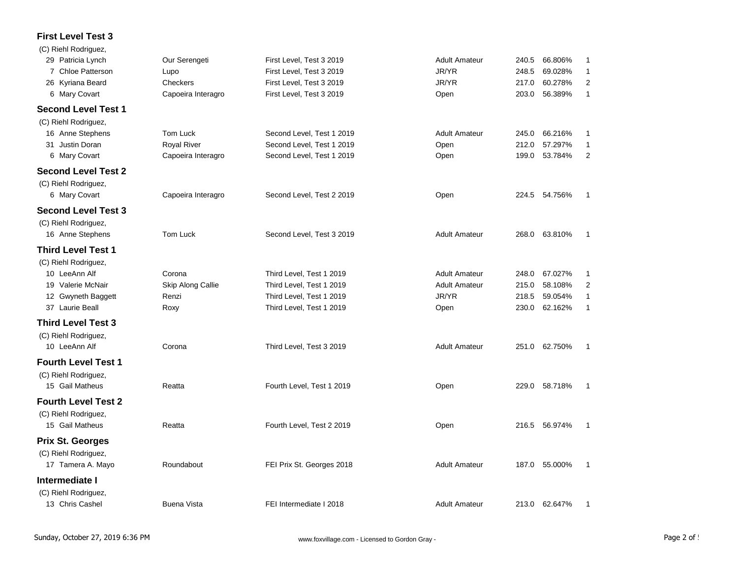## **First Level Test 3**

| (C) Riehl Rodriguez,       |                    |                           |                      |       |               |                         |
|----------------------------|--------------------|---------------------------|----------------------|-------|---------------|-------------------------|
| 29 Patricia Lynch          | Our Serengeti      | First Level, Test 3 2019  | <b>Adult Amateur</b> | 240.5 | 66.806%       | 1                       |
| 7 Chloe Patterson          | Lupo               | First Level, Test 3 2019  | JR/YR                | 248.5 | 69.028%       | $\mathbf{1}$            |
| 26 Kyriana Beard           | Checkers           | First Level, Test 3 2019  | JR/YR                | 217.0 | 60.278%       | $\overline{2}$          |
| 6 Mary Covart              | Capoeira Interagro | First Level, Test 3 2019  | Open                 | 203.0 | 56.389%       | $\mathbf{1}$            |
| <b>Second Level Test 1</b> |                    |                           |                      |       |               |                         |
| (C) Riehl Rodriguez,       |                    |                           |                      |       |               |                         |
| 16 Anne Stephens           | Tom Luck           | Second Level, Test 1 2019 | <b>Adult Amateur</b> | 245.0 | 66.216%       | $\mathbf{1}$            |
| 31 Justin Doran            | <b>Royal River</b> | Second Level, Test 1 2019 | Open                 | 212.0 | 57.297%       | $\mathbf{1}$            |
| 6 Mary Covart              | Capoeira Interagro | Second Level, Test 1 2019 | Open                 | 199.0 | 53.784%       | 2                       |
| <b>Second Level Test 2</b> |                    |                           |                      |       |               |                         |
| (C) Riehl Rodriguez,       |                    |                           |                      |       |               |                         |
| 6 Mary Covart              | Capoeira Interagro | Second Level, Test 2 2019 | Open                 | 224.5 | 54.756%       | 1                       |
| <b>Second Level Test 3</b> |                    |                           |                      |       |               |                         |
| (C) Riehl Rodriguez,       |                    |                           |                      |       |               |                         |
| 16 Anne Stephens           | Tom Luck           | Second Level, Test 3 2019 | <b>Adult Amateur</b> | 268.0 | 63.810%       | $\mathbf{1}$            |
| <b>Third Level Test 1</b>  |                    |                           |                      |       |               |                         |
| (C) Riehl Rodriguez,       |                    |                           |                      |       |               |                         |
| 10 LeeAnn Alf              | Corona             | Third Level, Test 1 2019  | <b>Adult Amateur</b> | 248.0 | 67.027%       | 1                       |
| 19 Valerie McNair          | Skip Along Callie  | Third Level, Test 1 2019  | <b>Adult Amateur</b> | 215.0 | 58.108%       | $\overline{\mathbf{c}}$ |
| 12 Gwyneth Baggett         | Renzi              | Third Level, Test 1 2019  | JR/YR                | 218.5 | 59.054%       | $\mathbf{1}$            |
| 37 Laurie Beall            | Roxy               | Third Level, Test 1 2019  | Open                 | 230.0 | 62.162%       | 1                       |
| <b>Third Level Test 3</b>  |                    |                           |                      |       |               |                         |
| (C) Riehl Rodriguez,       |                    |                           |                      |       |               |                         |
| 10 LeeAnn Alf              | Corona             | Third Level, Test 3 2019  | <b>Adult Amateur</b> | 251.0 | 62.750%       | $\mathbf{1}$            |
| <b>Fourth Level Test 1</b> |                    |                           |                      |       |               |                         |
| (C) Riehl Rodriguez,       |                    |                           |                      |       |               |                         |
| 15 Gail Matheus            | Reatta             | Fourth Level, Test 1 2019 | Open                 | 229.0 | 58.718%       | 1                       |
| <b>Fourth Level Test 2</b> |                    |                           |                      |       |               |                         |
| (C) Riehl Rodriguez,       |                    |                           |                      |       |               |                         |
| 15 Gail Matheus            | Reatta             | Fourth Level, Test 2 2019 | Open                 |       | 216.5 56.974% | 1                       |
| <b>Prix St. Georges</b>    |                    |                           |                      |       |               |                         |
| (C) Riehl Rodriguez,       |                    |                           |                      |       |               |                         |
| 17 Tamera A. Mayo          | Roundabout         | FEI Prix St. Georges 2018 | <b>Adult Amateur</b> | 187.0 | 55.000%       | -1                      |
| Intermediate I             |                    |                           |                      |       |               |                         |
| (C) Riehl Rodriguez,       |                    |                           |                      |       |               |                         |
| 13 Chris Cashel            | <b>Buena Vista</b> | FEI Intermediate I 2018   | <b>Adult Amateur</b> |       | 213.0 62.647% | $\mathbf 1$             |
|                            |                    |                           |                      |       |               |                         |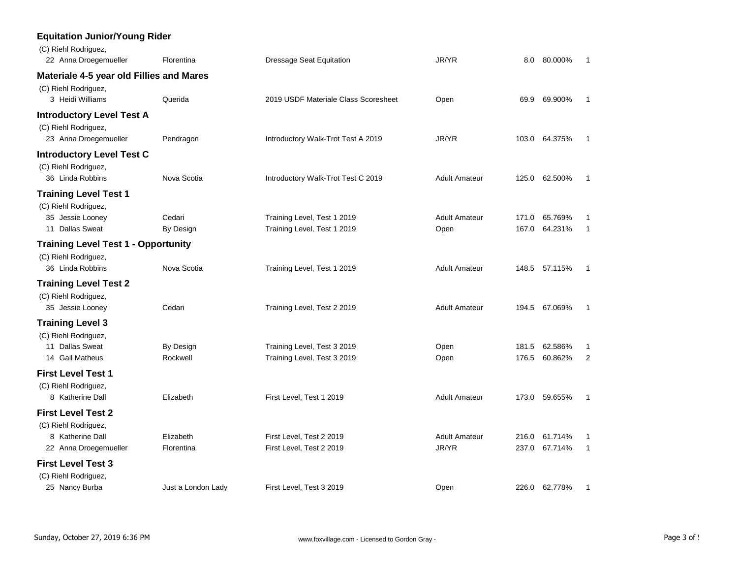| <b>Equitation Junior/Young Rider</b><br>(C) Riehl Rodriguez, |                    |                                      |                      |       |               |                |
|--------------------------------------------------------------|--------------------|--------------------------------------|----------------------|-------|---------------|----------------|
| 22 Anna Droegemueller                                        | Florentina         | <b>Dressage Seat Equitation</b>      | JR/YR                | 8.0   | 80.000%       | $\mathbf{1}$   |
| Materiale 4-5 year old Fillies and Mares                     |                    |                                      |                      |       |               |                |
| (C) Riehl Rodriguez,<br>3 Heidi Williams                     | Querida            | 2019 USDF Materiale Class Scoresheet | Open                 |       | 69.9 69.900%  | 1              |
| <b>Introductory Level Test A</b>                             |                    |                                      |                      |       |               |                |
| (C) Riehl Rodriguez,<br>23 Anna Droegemueller                | Pendragon          | Introductory Walk-Trot Test A 2019   | JR/YR                |       | 103.0 64.375% | -1             |
| <b>Introductory Level Test C</b>                             |                    |                                      |                      |       |               |                |
| (C) Riehl Rodriguez,<br>36 Linda Robbins                     | Nova Scotia        | Introductory Walk-Trot Test C 2019   | <b>Adult Amateur</b> |       | 125.0 62.500% | $\mathbf{1}$   |
| <b>Training Level Test 1</b><br>(C) Riehl Rodriguez,         |                    |                                      |                      |       |               |                |
| 35 Jessie Looney                                             | Cedari             | Training Level, Test 1 2019          | <b>Adult Amateur</b> | 171.0 | 65.769%       | 1              |
| 11 Dallas Sweat                                              | By Design          | Training Level, Test 1 2019          | Open                 | 167.0 | 64.231%       | 1              |
| <b>Training Level Test 1 - Opportunity</b>                   |                    |                                      |                      |       |               |                |
| (C) Riehl Rodriguez,<br>36 Linda Robbins                     | Nova Scotia        | Training Level, Test 1 2019          | <b>Adult Amateur</b> | 148.5 | 57.115%       | $\mathbf{1}$   |
| <b>Training Level Test 2</b>                                 |                    |                                      |                      |       |               |                |
| (C) Riehl Rodriguez,<br>35 Jessie Looney                     | Cedari             | Training Level, Test 2 2019          | <b>Adult Amateur</b> |       | 194.5 67.069% | $\mathbf{1}$   |
| <b>Training Level 3</b><br>(C) Riehl Rodriguez,              |                    |                                      |                      |       |               |                |
| 11 Dallas Sweat                                              | By Design          | Training Level, Test 3 2019          | Open                 | 181.5 | 62.586%       | 1              |
| 14 Gail Matheus                                              | Rockwell           | Training Level, Test 3 2019          | Open                 |       | 176.5 60.862% | $\overline{2}$ |
| <b>First Level Test 1</b>                                    |                    |                                      |                      |       |               |                |
| (C) Riehl Rodriguez,<br>8 Katherine Dall                     | Elizabeth          | First Level, Test 1 2019             | <b>Adult Amateur</b> |       | 173.0 59.655% | $\mathbf{1}$   |
| <b>First Level Test 2</b>                                    |                    |                                      |                      |       |               |                |
| (C) Riehl Rodriguez,                                         |                    |                                      |                      |       |               |                |
| 8 Katherine Dall                                             | Elizabeth          | First Level, Test 2 2019             | <b>Adult Amateur</b> | 216.0 | 61.714%       | 1              |
| 22 Anna Droegemueller                                        | Florentina         | First Level, Test 2 2019             | JR/YR                | 237.0 | 67.714%       | $\mathbf{1}$   |
| <b>First Level Test 3</b>                                    |                    |                                      |                      |       |               |                |
| (C) Riehl Rodriguez,<br>25 Nancy Burba                       | Just a London Lady | First Level, Test 3 2019             | Open                 |       | 226.0 62.778% | 1              |
|                                                              |                    |                                      |                      |       |               |                |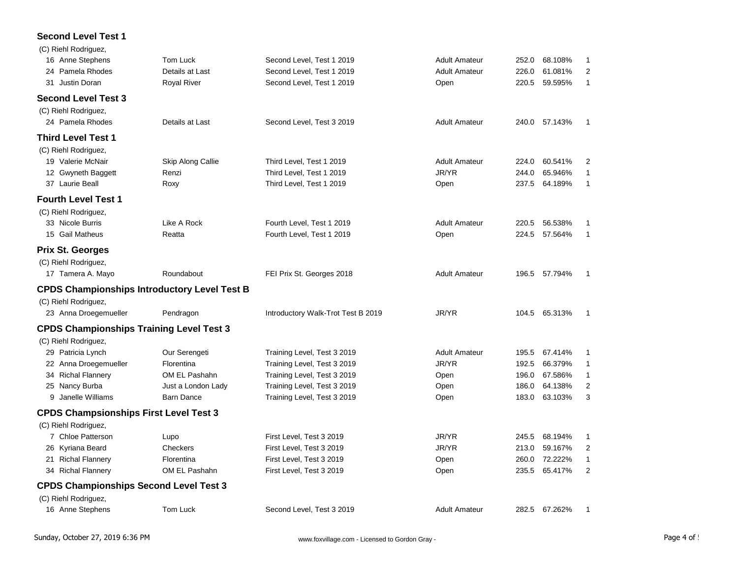## **Second Level Test 1**

| (C) Riehl Rodriguez,                                |                    |                                    |                      |       |               |                  |
|-----------------------------------------------------|--------------------|------------------------------------|----------------------|-------|---------------|------------------|
| 16 Anne Stephens                                    | Tom Luck           | Second Level, Test 1 2019          | <b>Adult Amateur</b> | 252.0 | 68.108%       | 1                |
| 24 Pamela Rhodes                                    | Details at Last    | Second Level, Test 1 2019          | <b>Adult Amateur</b> | 226.0 | 61.081%       | $\boldsymbol{2}$ |
| 31 Justin Doran                                     | <b>Royal River</b> | Second Level, Test 1 2019          | Open                 | 220.5 | 59.595%       | $\mathbf{1}$     |
| <b>Second Level Test 3</b>                          |                    |                                    |                      |       |               |                  |
| (C) Riehl Rodriguez,                                |                    |                                    |                      |       |               |                  |
| 24 Pamela Rhodes                                    | Details at Last    | Second Level, Test 3 2019          | <b>Adult Amateur</b> |       | 240.0 57.143% | $\mathbf{1}$     |
| <b>Third Level Test 1</b>                           |                    |                                    |                      |       |               |                  |
| (C) Riehl Rodriguez,                                |                    |                                    |                      |       |               |                  |
| 19 Valerie McNair                                   | Skip Along Callie  | Third Level, Test 1 2019           | <b>Adult Amateur</b> | 224.0 | 60.541%       | 2                |
| 12 Gwyneth Baggett                                  | Renzi              | Third Level, Test 1 2019           | JR/YR                | 244.0 | 65.946%       | 1                |
| 37 Laurie Beall                                     | Roxy               | Third Level, Test 1 2019           | Open                 | 237.5 | 64.189%       | $\mathbf{1}$     |
| <b>Fourth Level Test 1</b>                          |                    |                                    |                      |       |               |                  |
| (C) Riehl Rodriguez,                                |                    |                                    |                      |       |               |                  |
| 33 Nicole Burris                                    | Like A Rock        | Fourth Level, Test 1 2019          | <b>Adult Amateur</b> | 220.5 | 56.538%       | $\mathbf{1}$     |
| 15 Gail Matheus                                     | Reatta             | Fourth Level, Test 1 2019          | Open                 | 224.5 | 57.564%       | $\mathbf{1}$     |
| <b>Prix St. Georges</b>                             |                    |                                    |                      |       |               |                  |
| (C) Riehl Rodriguez,                                |                    |                                    |                      |       |               |                  |
| 17 Tamera A. Mayo                                   | Roundabout         | FEI Prix St. Georges 2018          | <b>Adult Amateur</b> |       | 196.5 57.794% | 1                |
| <b>CPDS Championships Introductory Level Test B</b> |                    |                                    |                      |       |               |                  |
| (C) Riehl Rodriguez,                                |                    |                                    |                      |       |               |                  |
| 23 Anna Droegemueller                               | Pendragon          | Introductory Walk-Trot Test B 2019 | JR/YR                |       | 104.5 65.313% | $\mathbf{1}$     |
| <b>CPDS Championships Training Level Test 3</b>     |                    |                                    |                      |       |               |                  |
| (C) Riehl Rodriguez,                                |                    |                                    |                      |       |               |                  |
| 29 Patricia Lynch                                   | Our Serengeti      | Training Level, Test 3 2019        | <b>Adult Amateur</b> | 195.5 | 67.414%       | 1                |
| 22 Anna Droegemueller                               | Florentina         | Training Level, Test 3 2019        | JR/YR                | 192.5 | 66.379%       | $\mathbf{1}$     |
| 34 Richal Flannery                                  | OM EL Pashahn      | Training Level, Test 3 2019        | Open                 | 196.0 | 67.586%       | 1                |
| 25 Nancy Burba                                      | Just a London Lady | Training Level, Test 3 2019        | Open                 | 186.0 | 64.138%       | $\overline{2}$   |
| 9 Janelle Williams                                  | <b>Barn Dance</b>  | Training Level, Test 3 2019        | Open                 | 183.0 | 63.103%       | 3                |
| <b>CPDS Champsionships First Level Test 3</b>       |                    |                                    |                      |       |               |                  |
| (C) Riehl Rodriguez,                                |                    |                                    |                      |       |               |                  |
| 7 Chloe Patterson                                   | Lupo               | First Level, Test 3 2019           | JR/YR                | 245.5 | 68.194%       | 1                |
| 26 Kyriana Beard                                    | Checkers           | First Level, Test 3 2019           | JR/YR                | 213.0 | 59.167%       | 2                |
| 21 Richal Flannery                                  | Florentina         | First Level, Test 3 2019           | Open                 | 260.0 | 72.222%       | $\mathbf{1}$     |
| 34 Richal Flannery                                  | OM EL Pashahn      | First Level, Test 3 2019           | Open                 | 235.5 | 65.417%       | $\overline{2}$   |
| <b>CPDS Championships Second Level Test 3</b>       |                    |                                    |                      |       |               |                  |
| (C) Riehl Rodriguez,                                |                    |                                    |                      |       |               |                  |
| 16 Anne Stephens                                    | Tom Luck           | Second Level, Test 3 2019          | <b>Adult Amateur</b> |       | 282.5 67.262% | $\mathbf{1}$     |
|                                                     |                    |                                    |                      |       |               |                  |